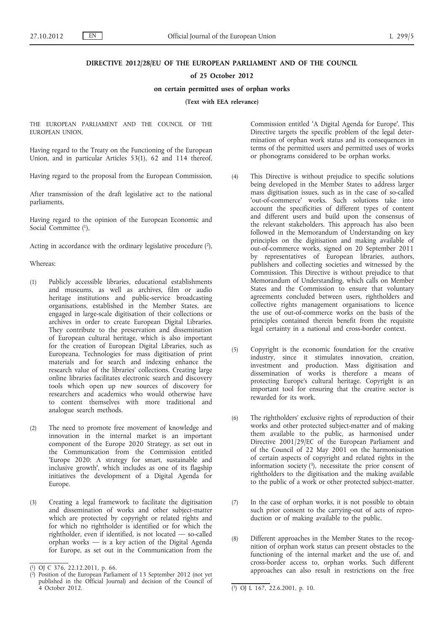## **DIRECTIVE 2012/28/EU OF THE EUROPEAN PARLIAMENT AND OF THE COUNCIL**

## **of 25 October 2012**

#### **on certain permitted uses of orphan works**

**(Text with EEA relevance)**

THE EUROPEAN PARLIAMENT AND THE COUNCIL OF THE EUROPEAN UNION,

Having regard to the Treaty on the Functioning of the European Union, and in particular Articles 53(1), 62 and 114 thereof,

Having regard to the proposal from the European Commission,

After transmission of the draft legislative act to the national parliaments,

Having regard to the opinion of the European Economic and Social Committee (1),

Acting in accordance with the ordinary legislative procedure  $(2)$ ,

#### Whereas:

- (1) Publicly accessible libraries, educational establishments and museums, as well as archives, film or audio heritage institutions and public-service broadcasting organisations, established in the Member States, are engaged in large-scale digitisation of their collections or archives in order to create European Digital Libraries. They contribute to the preservation and dissemination of European cultural heritage, which is also important for the creation of European Digital Libraries, such as Europeana. Technologies for mass digitisation of print materials and for search and indexing enhance the research value of the libraries' collections. Creating large online libraries facilitates electronic search and discovery tools which open up new sources of discovery for researchers and academics who would otherwise have to content themselves with more traditional and analogue search methods.
- (2) The need to promote free movement of knowledge and innovation in the internal market is an important component of the Europe 2020 Strategy, as set out in the Communication from the Commission entitled 'Europe 2020: A strategy for smart, sustainable and inclusive growth', which includes as one of its flagship initiatives the development of a Digital Agenda for Europe.
- (3) Creating a legal framework to facilitate the digitisation and dissemination of works and other subject-matter which are protected by copyright or related rights and for which no rightholder is identified or for which the rightholder, even if identified, is not located — so-called orphan works — is a key action of the Digital Agenda for Europe, as set out in the Communication from the

Commission entitled 'A Digital Agenda for Europe'. This Directive targets the specific problem of the legal determination of orphan work status and its consequences in terms of the permitted users and permitted uses of works or phonograms considered to be orphan works.

- (4) This Directive is without prejudice to specific solutions being developed in the Member States to address larger mass digitisation issues, such as in the case of so-called 'out-of-commerce' works. Such solutions take into account the specificities of different types of content and different users and build upon the consensus of the relevant stakeholders. This approach has also been followed in the Memorandum of Understanding on key principles on the digitisation and making available of out-of-commerce works, signed on 20 September 2011 by representatives of European libraries, authors, publishers and collecting societies and witnessed by the Commission. This Directive is without prejudice to that Memorandum of Understanding, which calls on Member States and the Commission to ensure that voluntary agreements concluded between users, rightholders and collective rights management organisations to licence the use of out-of-commerce works on the basis of the principles contained therein benefit from the requisite legal certainty in a national and cross-border context.
- (5) Copyright is the economic foundation for the creative industry, since it stimulates innovation, creation, investment and production. Mass digitisation and dissemination of works is therefore a means of protecting Europe's cultural heritage. Copyright is an important tool for ensuring that the creative sector is rewarded for its work.
- (6) The rightholders' exclusive rights of reproduction of their works and other protected subject-matter and of making them available to the public, as harmonised under Directive 2001/29/EC of the European Parliament and of the Council of 22 May 2001 on the harmonisation of certain aspects of copyright and related rights in the information society  $(3)$ , necessitate the prior consent of rightholders to the digitisation and the making available to the public of a work or other protected subject-matter.
- (7) In the case of orphan works, it is not possible to obtain such prior consent to the carrying-out of acts of reproduction or of making available to the public.
- (8) Different approaches in the Member States to the recognition of orphan work status can present obstacles to the functioning of the internal market and the use of, and cross-border access to, orphan works. Such different approaches can also result in restrictions on the free

<sup>(</sup> 1) OJ C 376, 22.12.2011, p. 66.

<sup>(</sup> 2) Position of the European Parliament of 13 September 2012 (not yet published in the Official Journal) and decision of the Council of 4 October 2012.

 $\overline{(^3)}$  OJ L 167, 22.6.2001, p. 10.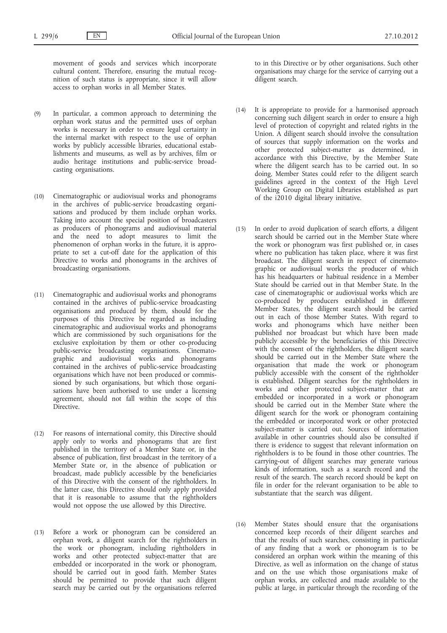movement of goods and services which incorporate cultural content. Therefore, ensuring the mutual recognition of such status is appropriate, since it will allow access to orphan works in all Member States.

- (9) In particular, a common approach to determining the orphan work status and the permitted uses of orphan works is necessary in order to ensure legal certainty in the internal market with respect to the use of orphan works by publicly accessible libraries, educational establishments and museums, as well as by archives, film or audio heritage institutions and public-service broadcasting organisations.
- (10) Cinematographic or audiovisual works and phonograms in the archives of public-service broadcasting organisations and produced by them include orphan works. Taking into account the special position of broadcasters as producers of phonograms and audiovisual material and the need to adopt measures to limit the phenomenon of orphan works in the future, it is appropriate to set a cut-off date for the application of this Directive to works and phonograms in the archives of broadcasting organisations.
- (11) Cinematographic and audiovisual works and phonograms contained in the archives of public-service broadcasting organisations and produced by them, should for the purposes of this Directive be regarded as including cinematographic and audiovisual works and phonograms which are commissioned by such organisations for the exclusive exploitation by them or other co-producing public-service broadcasting organisations. Cinematographic and audiovisual works and phonograms contained in the archives of public-service broadcasting organisations which have not been produced or commissioned by such organisations, but which those organisations have been authorised to use under a licensing agreement, should not fall within the scope of this Directive.
- (12) For reasons of international comity, this Directive should apply only to works and phonograms that are first published in the territory of a Member State or, in the absence of publication, first broadcast in the territory of a Member State or, in the absence of publication or broadcast, made publicly accessible by the beneficiaries of this Directive with the consent of the rightholders. In the latter case, this Directive should only apply provided that it is reasonable to assume that the rightholders would not oppose the use allowed by this Directive.
- (13) Before a work or phonogram can be considered an orphan work, a diligent search for the rightholders in the work or phonogram, including rightholders in works and other protected subject-matter that are embedded or incorporated in the work or phonogram, should be carried out in good faith. Member States should be permitted to provide that such diligent search may be carried out by the organisations referred

to in this Directive or by other organisations. Such other organisations may charge for the service of carrying out a diligent search.

- (14) It is appropriate to provide for a harmonised approach concerning such diligent search in order to ensure a high level of protection of copyright and related rights in the Union. A diligent search should involve the consultation of sources that supply information on the works and other protected subject-matter as determined, in accordance with this Directive, by the Member State where the diligent search has to be carried out. In so doing, Member States could refer to the diligent search guidelines agreed in the context of the High Level Working Group on Digital Libraries established as part of the i2010 digital library initiative.
- (15) In order to avoid duplication of search efforts, a diligent search should be carried out in the Member State where the work or phonogram was first published or, in cases where no publication has taken place, where it was first broadcast. The diligent search in respect of cinematographic or audiovisual works the producer of which has his headquarters or habitual residence in a Member State should be carried out in that Member State. In the case of cinematographic or audiovisual works which are co-produced by producers established in different Member States, the diligent search should be carried out in each of those Member States. With regard to works and phonograms which have neither been published nor broadcast but which have been made publicly accessible by the beneficiaries of this Directive with the consent of the rightholders, the diligent search should be carried out in the Member State where the organisation that made the work or phonogram publicly accessible with the consent of the rightholder is established. Diligent searches for the rightholders in works and other protected subject-matter that are embedded or incorporated in a work or phonogram should be carried out in the Member State where the diligent search for the work or phonogram containing the embedded or incorporated work or other protected subject-matter is carried out. Sources of information available in other countries should also be consulted if there is evidence to suggest that relevant information on rightholders is to be found in those other countries. The carrying-out of diligent searches may generate various kinds of information, such as a search record and the result of the search. The search record should be kept on file in order for the relevant organisation to be able to substantiate that the search was diligent.
- (16) Member States should ensure that the organisations concerned keep records of their diligent searches and that the results of such searches, consisting in particular of any finding that a work or phonogram is to be considered an orphan work within the meaning of this Directive, as well as information on the change of status and on the use which those organisations make of orphan works, are collected and made available to the public at large, in particular through the recording of the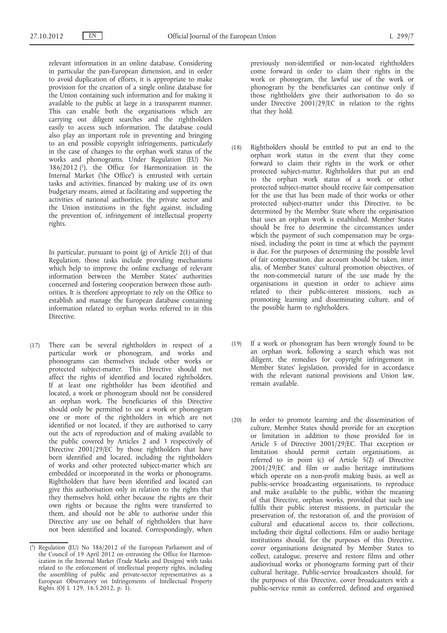relevant information in an online database. Considering in particular the pan-European dimension, and in order to avoid duplication of efforts, it is appropriate to make provision for the creation of a single online database for the Union containing such information and for making it available to the public at large in a transparent manner. This can enable both the organisations which are carrying out diligent searches and the rightholders easily to access such information. The database could also play an important role in preventing and bringing to an end possible copyright infringements, particularly in the case of changes to the orphan work status of the works and phonograms. Under Regulation (EU) No 386/2012 (1), the Office for Harmonization in the Internal Market ('the Office') is entrusted with certain tasks and activities, financed by making use of its own budgetary means, aimed at facilitating and supporting the activities of national authorities, the private sector and the Union institutions in the fight against, including the prevention of, infringement of intellectual property rights.

In particular, pursuant to point (g) of Article 2(1) of that Regulation, those tasks include providing mechanisms which help to improve the online exchange of relevant information between the Member States' authorities concerned and fostering cooperation between those authorities. It is therefore appropriate to rely on the Office to establish and manage the European database containing information related to orphan works referred to in this Directive.

(17) There can be several rightholders in respect of a particular work or phonogram, and works and phonograms can themselves include other works or protected subject-matter. This Directive should not affect the rights of identified and located rightholders. If at least one rightholder has been identified and located, a work or phonogram should not be considered an orphan work. The beneficiaries of this Directive should only be permitted to use a work or phonogram one or more of the rightholders in which are not identified or not located, if they are authorised to carry out the acts of reproduction and of making available to the public covered by Articles 2 and 3 respectively of Directive 2001/29/EC by those rightholders that have been identified and located, including the rightholders of works and other protected subject-matter which are embedded or incorporated in the works or phonograms. Rightholders that have been identified and located can give this authorisation only in relation to the rights that they themselves hold, either because the rights are their own rights or because the rights were transferred to them, and should not be able to authorise under this Directive any use on behalf of rightholders that have not been identified and located. Correspondingly, when

previously non-identified or non-located rightholders come forward in order to claim their rights in the work or phonogram, the lawful use of the work or phonogram by the beneficiaries can continue only if those rightholders give their authorisation to do so under Directive 2001/29/EC in relation to the rights that they hold.

- (18) Rightholders should be entitled to put an end to the orphan work status in the event that they come forward to claim their rights in the work or other protected subject-matter. Rightholders that put an end to the orphan work status of a work or other protected subject-matter should receive fair compensation for the use that has been made of their works or other protected subject-matter under this Directive, to be determined by the Member State where the organisation that uses an orphan work is established. Member States should be free to determine the circumstances under which the payment of such compensation may be organised, including the point in time at which the payment is due. For the purposes of determining the possible level of fair compensation, due account should be taken, inter alia, of Member States' cultural promotion objectives, of the non-commercial nature of the use made by the organisations in question in order to achieve aims related to their public-interest missions, such as promoting learning and disseminating culture, and of the possible harm to rightholders.
- (19) If a work or phonogram has been wrongly found to be an orphan work, following a search which was not diligent, the remedies for copyright infringement in Member States' legislation, provided for in accordance with the relevant national provisions and Union law, remain available.
- (20) In order to promote learning and the dissemination of culture, Member States should provide for an exception or limitation in addition to those provided for in Article 5 of Directive 2001/29/EC. That exception or limitation should permit certain organisations, as referred to in point (c) of Article 5(2) of Directive 2001/29/EC and film or audio heritage institutions which operate on a non-profit making basis, as well as public-service broadcasting organisations, to reproduce and make available to the public, within the meaning of that Directive, orphan works, provided that such use fulfils their public interest missions, in particular the preservation of, the restoration of, and the provision of cultural and educational access to, their collections, including their digital collections. Film or audio heritage institutions should, for the purposes of this Directive, cover organisations designated by Member States to collect, catalogue, preserve and restore films and other audiovisual works or phonograms forming part of their cultural heritage. Public-service broadcasters should, for the purposes of this Directive, cover broadcasters with a public-service remit as conferred, defined and organised

<sup>(</sup> 1) Regulation (EU) No 386/2012 of the European Parliament and of the Council of 19 April 2012 on entrusting the Office for Harmonization in the Internal Market (Trade Marks and Designs) with tasks related to the enforcement of intellectual property rights, including the assembling of public and private-sector representatives as a European Observatory on Infringements of Intellectual Property Rights (OJ L 129, 16.5.2012, p. 1).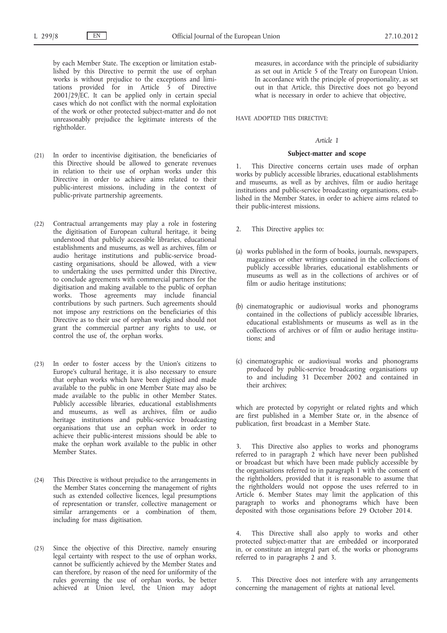by each Member State. The exception or limitation established by this Directive to permit the use of orphan works is without prejudice to the exceptions and limitations provided for in Article 5 of Directive 2001/29/EC. It can be applied only in certain special cases which do not conflict with the normal exploitation of the work or other protected subject-matter and do not unreasonably prejudice the legitimate interests of the rightholder.

- (21) In order to incentivise digitisation, the beneficiaries of this Directive should be allowed to generate revenues in relation to their use of orphan works under this Directive in order to achieve aims related to their public-interest missions, including in the context of public-private partnership agreements.
- (22) Contractual arrangements may play a role in fostering the digitisation of European cultural heritage, it being understood that publicly accessible libraries, educational establishments and museums, as well as archives, film or audio heritage institutions and public-service broadcasting organisations, should be allowed, with a view to undertaking the uses permitted under this Directive, to conclude agreements with commercial partners for the digitisation and making available to the public of orphan works. Those agreements may include financial contributions by such partners. Such agreements should not impose any restrictions on the beneficiaries of this Directive as to their use of orphan works and should not grant the commercial partner any rights to use, or control the use of, the orphan works.
- (23) In order to foster access by the Union's citizens to Europe's cultural heritage, it is also necessary to ensure that orphan works which have been digitised and made available to the public in one Member State may also be made available to the public in other Member States. Publicly accessible libraries, educational establishments and museums, as well as archives, film or audio heritage institutions and public-service broadcasting organisations that use an orphan work in order to achieve their public-interest missions should be able to make the orphan work available to the public in other Member States.
- (24) This Directive is without prejudice to the arrangements in the Member States concerning the management of rights such as extended collective licences, legal presumptions of representation or transfer, collective management or similar arrangements or a combination of them, including for mass digitisation.
- (25) Since the objective of this Directive, namely ensuring legal certainty with respect to the use of orphan works, cannot be sufficiently achieved by the Member States and can therefore, by reason of the need for uniformity of the rules governing the use of orphan works, be better achieved at Union level, the Union may adopt

measures, in accordance with the principle of subsidiarity as set out in Article 5 of the Treaty on European Union. In accordance with the principle of proportionality, as set out in that Article, this Directive does not go beyond what is necessary in order to achieve that objective,

HAVE ADOPTED THIS DIRECTIVE:

#### *Article 1*

#### **Subject-matter and scope**

This Directive concerns certain uses made of orphan works by publicly accessible libraries, educational establishments and museums, as well as by archives, film or audio heritage institutions and public-service broadcasting organisations, established in the Member States, in order to achieve aims related to their public-interest missions.

- 2. This Directive applies to:
- (a) works published in the form of books, journals, newspapers, magazines or other writings contained in the collections of publicly accessible libraries, educational establishments or museums as well as in the collections of archives or of film or audio heritage institutions;
- (b) cinematographic or audiovisual works and phonograms contained in the collections of publicly accessible libraries, educational establishments or museums as well as in the collections of archives or of film or audio heritage institutions; and
- (c) cinematographic or audiovisual works and phonograms produced by public-service broadcasting organisations up to and including 31 December 2002 and contained in their archives;

which are protected by copyright or related rights and which are first published in a Member State or, in the absence of publication, first broadcast in a Member State.

This Directive also applies to works and phonograms referred to in paragraph 2 which have never been published or broadcast but which have been made publicly accessible by the organisations referred to in paragraph 1 with the consent of the rightholders, provided that it is reasonable to assume that the rightholders would not oppose the uses referred to in Article 6. Member States may limit the application of this paragraph to works and phonograms which have been deposited with those organisations before 29 October 2014.

4. This Directive shall also apply to works and other protected subject-matter that are embedded or incorporated in, or constitute an integral part of, the works or phonograms referred to in paragraphs 2 and 3.

This Directive does not interfere with any arrangements concerning the management of rights at national level.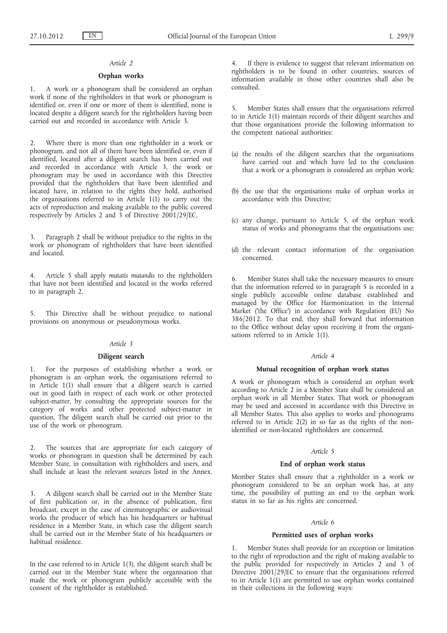## *Article 2*

### **Orphan works**

1. A work or a phonogram shall be considered an orphan work if none of the rightholders in that work or phonogram is identified or, even if one or more of them is identified, none is located despite a diligent search for the rightholders having been carried out and recorded in accordance with Article 3.

2. Where there is more than one rightholder in a work or phonogram, and not all of them have been identified or, even if identified, located after a diligent search has been carried out and recorded in accordance with Article 3, the work or phonogram may be used in accordance with this Directive provided that the rightholders that have been identified and located have, in relation to the rights they hold, authorised the organisations referred to in Article  $1(1)$  to carry out the acts of reproduction and making available to the public covered respectively by Articles 2 and 3 of Directive 2001/29/EC.

3. Paragraph 2 shall be without prejudice to the rights in the work or phonogram of rightholders that have been identified and located.

4. Article 5 shall apply *mutatis mutandis* to the rightholders that have not been identified and located in the works referred to in paragraph 2.

5. This Directive shall be without prejudice to national provisions on anonymous or pseudonymous works.

#### *Article 3*

## **Diligent search**

1. For the purposes of establishing whether a work or phonogram is an orphan work, the organisations referred to in Article 1(1) shall ensure that a diligent search is carried out in good faith in respect of each work or other protected subject-matter, by consulting the appropriate sources for the category of works and other protected subject-matter in question. The diligent search shall be carried out prior to the use of the work or phonogram.

2. The sources that are appropriate for each category of works or phonogram in question shall be determined by each Member State, in consultation with rightholders and users, and shall include at least the relevant sources listed in the Annex.

3. A diligent search shall be carried out in the Member State of first publication or, in the absence of publication, first broadcast, except in the case of cinematographic or audiovisual works the producer of which has his headquarters or habitual residence in a Member State, in which case the diligent search shall be carried out in the Member State of his headquarters or habitual residence.

In the case referred to in Article 1(3), the diligent search shall be carried out in the Member State where the organisation that made the work or phonogram publicly accessible with the consent of the rightholder is established.

If there is evidence to suggest that relevant information on rightholders is to be found in other countries, sources of information available in those other countries shall also be consulted.

5. Member States shall ensure that the organisations referred to in Article 1(1) maintain records of their diligent searches and that those organisations provide the following information to the competent national authorities:

- (a) the results of the diligent searches that the organisations have carried out and which have led to the conclusion that a work or a phonogram is considered an orphan work;
- (b) the use that the organisations make of orphan works in accordance with this Directive;
- (c) any change, pursuant to Article 5, of the orphan work status of works and phonograms that the organisations use;
- (d) the relevant contact information of the organisation concerned.

6. Member States shall take the necessary measures to ensure that the information referred to in paragraph 5 is recorded in a single publicly accessible online database established and managed by the Office for Harmonization in the Internal Market ('the Office') in accordance with Regulation (EU) No 386/2012. To that end, they shall forward that information to the Office without delay upon receiving it from the organisations referred to in Article  $1(1)$ .

#### *Article 4*

#### **Mutual recognition of orphan work status**

A work or phonogram which is considered an orphan work according to Article 2 in a Member State shall be considered an orphan work in all Member States. That work or phonogram may be used and accessed in accordance with this Directive in all Member States. This also applies to works and phonograms referred to in Article 2(2) in so far as the rights of the nonidentified or non-located rightholders are concerned.

## *Article 5*

## **End of orphan work status**

Member States shall ensure that a rightholder in a work or phonogram considered to be an orphan work has, at any time, the possibility of putting an end to the orphan work status in so far as his rights are concerned.

## *Article 6*

#### **Permitted uses of orphan works**

1. Member States shall provide for an exception or limitation to the right of reproduction and the right of making available to the public provided for respectively in Articles 2 and 3 of Directive 2001/29/EC to ensure that the organisations referred to in Article 1(1) are permitted to use orphan works contained in their collections in the following ways: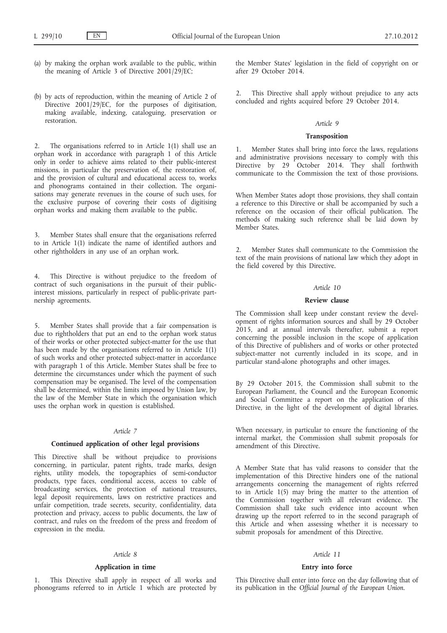- (a) by making the orphan work available to the public, within the meaning of Article 3 of Directive 2001/29/EC;
- (b) by acts of reproduction, within the meaning of Article 2 of Directive  $2001/29$ /EC, for the purposes of digitisation, making available, indexing, cataloguing, preservation or restoration.

2. The organisations referred to in Article 1(1) shall use an orphan work in accordance with paragraph 1 of this Article only in order to achieve aims related to their public-interest missions, in particular the preservation of, the restoration of, and the provision of cultural and educational access to, works and phonograms contained in their collection. The organisations may generate revenues in the course of such uses, for the exclusive purpose of covering their costs of digitising orphan works and making them available to the public.

3. Member States shall ensure that the organisations referred to in Article 1(1) indicate the name of identified authors and other rightholders in any use of an orphan work.

4. This Directive is without prejudice to the freedom of contract of such organisations in the pursuit of their publicinterest missions, particularly in respect of public-private partnership agreements.

5. Member States shall provide that a fair compensation is due to rightholders that put an end to the orphan work status of their works or other protected subject-matter for the use that has been made by the organisations referred to in Article 1(1) of such works and other protected subject-matter in accordance with paragraph 1 of this Article. Member States shall be free to determine the circumstances under which the payment of such compensation may be organised. The level of the compensation shall be determined, within the limits imposed by Union law, by the law of the Member State in which the organisation which uses the orphan work in question is established.

#### *Article 7*

#### **Continued application of other legal provisions**

This Directive shall be without prejudice to provisions concerning, in particular, patent rights, trade marks, design rights, utility models, the topographies of semi-conductor products, type faces, conditional access, access to cable of broadcasting services, the protection of national treasures, legal deposit requirements, laws on restrictive practices and unfair competition, trade secrets, security, confidentiality, data protection and privacy, access to public documents, the law of contract, and rules on the freedom of the press and freedom of expression in the media.

#### *Article 8*

#### **Application in time**

This Directive shall apply in respect of all works and phonograms referred to in Article 1 which are protected by the Member States' legislation in the field of copyright on or after 29 October 2014.

2. This Directive shall apply without prejudice to any acts concluded and rights acquired before 29 October 2014.

#### *Article 9*

#### **Transposition**

1. Member States shall bring into force the laws, regulations and administrative provisions necessary to comply with this Directive by 29 October 2014. They shall forthwith communicate to the Commission the text of those provisions.

When Member States adopt those provisions, they shall contain a reference to this Directive or shall be accompanied by such a reference on the occasion of their official publication. The methods of making such reference shall be laid down by Member States.

2. Member States shall communicate to the Commission the text of the main provisions of national law which they adopt in the field covered by this Directive.

## *Article 10*

## **Review clause**

The Commission shall keep under constant review the development of rights information sources and shall by 29 October 2015, and at annual intervals thereafter, submit a report concerning the possible inclusion in the scope of application of this Directive of publishers and of works or other protected subject-matter not currently included in its scope, and in particular stand-alone photographs and other images.

By 29 October 2015, the Commission shall submit to the European Parliament, the Council and the European Economic and Social Committee a report on the application of this Directive, in the light of the development of digital libraries.

When necessary, in particular to ensure the functioning of the internal market, the Commission shall submit proposals for amendment of this Directive.

A Member State that has valid reasons to consider that the implementation of this Directive hinders one of the national arrangements concerning the management of rights referred to in Article 1(5) may bring the matter to the attention of the Commission together with all relevant evidence. The Commission shall take such evidence into account when drawing up the report referred to in the second paragraph of this Article and when assessing whether it is necessary to submit proposals for amendment of this Directive.

### *Article 11*

## **Entry into force**

This Directive shall enter into force on the day following that of its publication in the *Official Journal of the European Union*.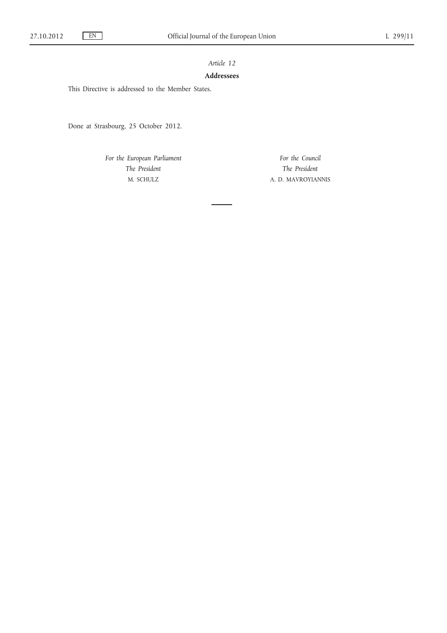# *Article 12*

# **Addressees**

This Directive is addressed to the Member States.

Done at Strasbourg, 25 October 2012.

*For the European Parliament The President* M. SCHULZ

*For the Council The President* A. D. MAVROYIANNIS